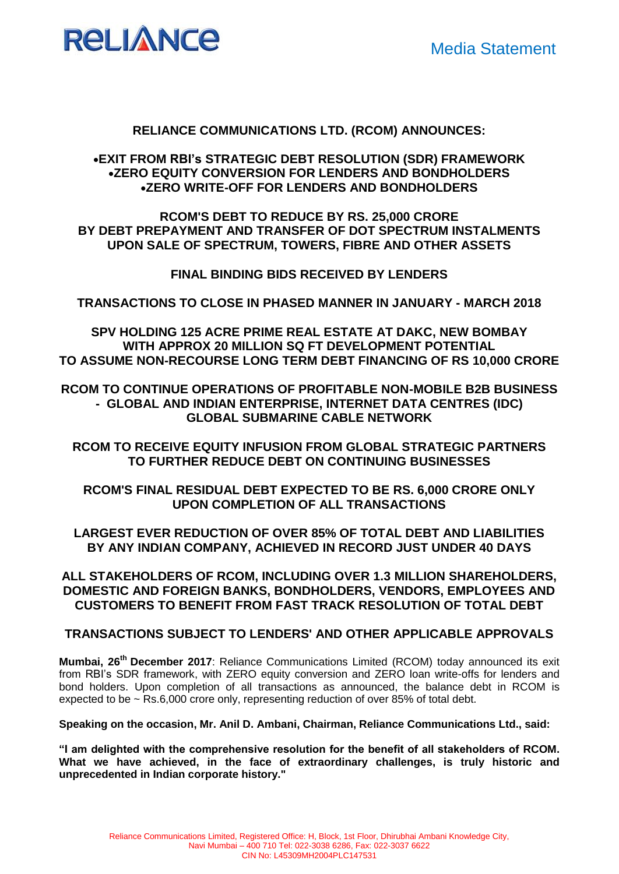

# **RELIANCE COMMUNICATIONS LTD. (RCOM) ANNOUNCES:**

# **EXIT FROM RBI's STRATEGIC DEBT RESOLUTION (SDR) FRAMEWORK ZERO EQUITY CONVERSION FOR LENDERS AND BONDHOLDERS ZERO WRITE-OFF FOR LENDERS AND BONDHOLDERS**

**RCOM'S DEBT TO REDUCE BY RS. 25,000 CRORE BY DEBT PREPAYMENT AND TRANSFER OF DOT SPECTRUM INSTALMENTS UPON SALE OF SPECTRUM, TOWERS, FIBRE AND OTHER ASSETS**

**FINAL BINDING BIDS RECEIVED BY LENDERS** 

**TRANSACTIONS TO CLOSE IN PHASED MANNER IN JANUARY - MARCH 2018** 

**SPV HOLDING 125 ACRE PRIME REAL ESTATE AT DAKC, NEW BOMBAY WITH APPROX 20 MILLION SQ FT DEVELOPMENT POTENTIAL TO ASSUME NON-RECOURSE LONG TERM DEBT FINANCING OF RS 10,000 CRORE** 

**RCOM TO CONTINUE OPERATIONS OF PROFITABLE NON-MOBILE B2B BUSINESS - GLOBAL AND INDIAN ENTERPRISE, INTERNET DATA CENTRES (IDC) GLOBAL SUBMARINE CABLE NETWORK**

**RCOM TO RECEIVE EQUITY INFUSION FROM GLOBAL STRATEGIC PARTNERS TO FURTHER REDUCE DEBT ON CONTINUING BUSINESSES**

**RCOM'S FINAL RESIDUAL DEBT EXPECTED TO BE RS. 6,000 CRORE ONLY UPON COMPLETION OF ALL TRANSACTIONS**

**LARGEST EVER REDUCTION OF OVER 85% OF TOTAL DEBT AND LIABILITIES BY ANY INDIAN COMPANY, ACHIEVED IN RECORD JUST UNDER 40 DAYS**

**ALL STAKEHOLDERS OF RCOM, INCLUDING OVER 1.3 MILLION SHAREHOLDERS, DOMESTIC AND FOREIGN BANKS, BONDHOLDERS, VENDORS, EMPLOYEES AND CUSTOMERS TO BENEFIT FROM FAST TRACK RESOLUTION OF TOTAL DEBT**

## **TRANSACTIONS SUBJECT TO LENDERS' AND OTHER APPLICABLE APPROVALS**

**Mumbai, 26th December 2017**: Reliance Communications Limited (RCOM) today announced its exit from RBI's SDR framework, with ZERO equity conversion and ZERO loan write-offs for lenders and bond holders. Upon completion of all transactions as announced, the balance debt in RCOM is expected to be ~ Rs.6,000 crore only, representing reduction of over 85% of total debt.

**Speaking on the occasion, Mr. Anil D. Ambani, Chairman, Reliance Communications Ltd., said:**

**"I am delighted with the comprehensive resolution for the benefit of all stakeholders of RCOM. What we have achieved, in the face of extraordinary challenges, is truly historic and unprecedented in Indian corporate history."**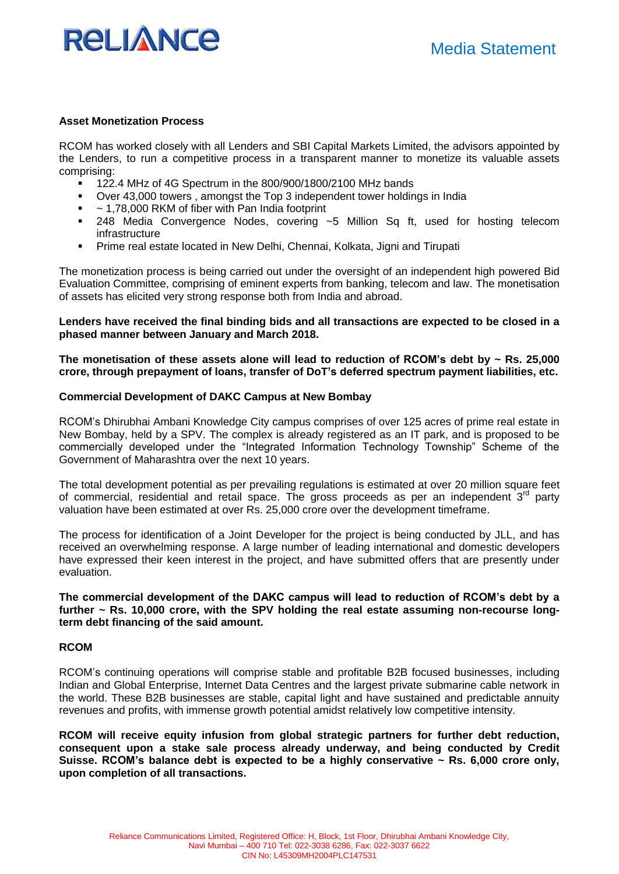

### **Asset Monetization Process**

RCOM has worked closely with all Lenders and SBI Capital Markets Limited, the advisors appointed by the Lenders, to run a competitive process in a transparent manner to monetize its valuable assets comprising:

- 122.4 MHz of 4G Spectrum in the 800/900/1800/2100 MHz bands
- Over 43,000 towers , amongst the Top 3 independent tower holdings in India
- $\sim$  1,78,000 RKM of fiber with Pan India footprint
- 248 Media Convergence Nodes, covering ~5 Million Sq ft, used for hosting telecom infrastructure
- Prime real estate located in New Delhi, Chennai, Kolkata, Jigni and Tirupati

The monetization process is being carried out under the oversight of an independent high powered Bid Evaluation Committee, comprising of eminent experts from banking, telecom and law. The monetisation of assets has elicited very strong response both from India and abroad.

**Lenders have received the final binding bids and all transactions are expected to be closed in a phased manner between January and March 2018.** 

**The monetisation of these assets alone will lead to reduction of RCOM's debt by ~ Rs. 25,000 crore, through prepayment of loans, transfer of DoT's deferred spectrum payment liabilities, etc.** 

## **Commercial Development of DAKC Campus at New Bombay**

RCOM's Dhirubhai Ambani Knowledge City campus comprises of over 125 acres of prime real estate in New Bombay, held by a SPV. The complex is already registered as an IT park, and is proposed to be commercially developed under the "Integrated Information Technology Township" Scheme of the Government of Maharashtra over the next 10 years.

The total development potential as per prevailing regulations is estimated at over 20 million square feet of commercial, residential and retail space. The gross proceeds as per an independent  $3<sup>rd</sup>$  party valuation have been estimated at over Rs. 25,000 crore over the development timeframe.

The process for identification of a Joint Developer for the project is being conducted by JLL, and has received an overwhelming response. A large number of leading international and domestic developers have expressed their keen interest in the project, and have submitted offers that are presently under evaluation.

**The commercial development of the DAKC campus will lead to reduction of RCOM's debt by a further ~ Rs. 10,000 crore, with the SPV holding the real estate assuming non-recourse longterm debt financing of the said amount.**

## **RCOM**

RCOM's continuing operations will comprise stable and profitable B2B focused businesses, including Indian and Global Enterprise, Internet Data Centres and the largest private submarine cable network in the world. These B2B businesses are stable, capital light and have sustained and predictable annuity revenues and profits, with immense growth potential amidst relatively low competitive intensity.

**RCOM will receive equity infusion from global strategic partners for further debt reduction, consequent upon a stake sale process already underway, and being conducted by Credit Suisse. RCOM's balance debt is expected to be a highly conservative ~ Rs. 6,000 crore only, upon completion of all transactions.**